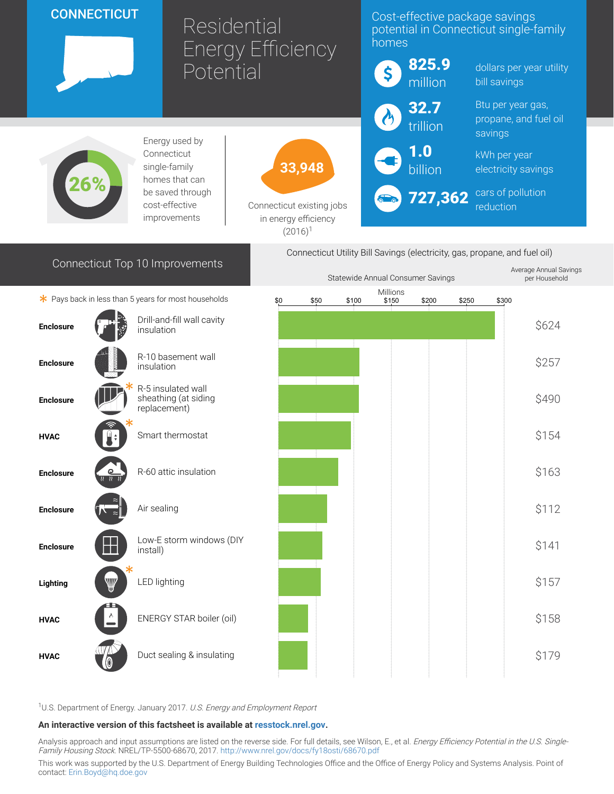|                                                                                                                                         | <b>CONNECTICUT</b> |                                                            | Residential<br><b>Energy Efficiency</b>                     |               |       | Cost-effective package savings<br>potential in Connecticut single-family<br>homes |              |                                            |  |
|-----------------------------------------------------------------------------------------------------------------------------------------|--------------------|------------------------------------------------------------|-------------------------------------------------------------|---------------|-------|-----------------------------------------------------------------------------------|--------------|--------------------------------------------|--|
|                                                                                                                                         | Potential          |                                                            |                                                             |               | \$    | 825.9<br>million                                                                  | bill savings | dollars per year utility                   |  |
|                                                                                                                                         |                    |                                                            |                                                             |               |       | 32.7                                                                              |              | Btu per year gas,<br>propane, and fuel oil |  |
|                                                                                                                                         |                    | Energy used by                                             |                                                             |               |       | trillion                                                                          | savings      |                                            |  |
| Connecticut<br>single-family<br>homes that can<br>be saved through<br>cost-effective<br>improvements                                    |                    |                                                            | 33,948<br>Connecticut existing jobs<br>in energy efficiency |               |       | $\mathbf{1.0}$<br>billion                                                         | kWh per year | electricity savings                        |  |
|                                                                                                                                         |                    |                                                            |                                                             |               |       | 727,362<br>reduction                                                              |              | cars of pollution                          |  |
| $(2016)^1$                                                                                                                              |                    |                                                            |                                                             |               |       |                                                                                   |              |                                            |  |
| Connecticut Utility Bill Savings (electricity, gas, propane, and fuel oil)<br>Connecticut Top 10 Improvements<br>Average Annual Savings |                    |                                                            |                                                             |               |       |                                                                                   |              |                                            |  |
| Statewide Annual Consumer Savings<br>Millions<br>* Pays back in less than 5 years for most households                                   |                    |                                                            |                                                             |               |       |                                                                                   |              | per Household                              |  |
|                                                                                                                                         |                    | Drill-and-fill wall cavity                                 | \$0                                                         | \$100<br>\$50 | \$150 | \$200                                                                             | \$250        | \$300                                      |  |
| <b>Enclosure</b>                                                                                                                        |                    | insulation                                                 |                                                             |               |       |                                                                                   |              | \$624                                      |  |
| <b>Enclosure</b>                                                                                                                        |                    | R-10 basement wall<br>insulation                           |                                                             |               |       |                                                                                   |              | \$257                                      |  |
| <b>Enclosure</b>                                                                                                                        |                    | R-5 insulated wall<br>sheathing (at siding<br>replacement) |                                                             |               |       |                                                                                   |              | \$490                                      |  |
| <b>HVAC</b>                                                                                                                             |                    | Smart thermostat                                           |                                                             |               |       |                                                                                   |              | \$154                                      |  |
| <b>Enclosure</b>                                                                                                                        | ௨                  | R-60 attic insulation                                      |                                                             |               |       |                                                                                   |              | \$163                                      |  |
| <b>Enclosure</b>                                                                                                                        |                    | Air sealing                                                |                                                             |               |       |                                                                                   |              | \$112                                      |  |
| <b>Enclosure</b>                                                                                                                        |                    | Low-E storm windows (DIY<br>install)                       |                                                             |               |       |                                                                                   |              | \$141                                      |  |
| Lighting                                                                                                                                | W                  | LED lighting                                               |                                                             |               |       |                                                                                   |              | \$157                                      |  |
| <b>HVAC</b>                                                                                                                             |                    | ENERGY STAR boiler (oil)                                   |                                                             |               |       |                                                                                   |              | \$158                                      |  |
| <b>HVAC</b>                                                                                                                             |                    | Duct sealing & insulating                                  |                                                             |               |       |                                                                                   |              | \$179                                      |  |

<sup>1</sup>U.S. Department of Energy. January 2017. U.S. Energy and Employment Report

## An interactive version of this factsheet is available at [resstock.nrel.gov.](https://resstock.nrel.gov/)

Analysis approach and input assumptions are listed on the reverse side. For full details, see Wilson, E., et al. *Energy Efficiency Potential in the U.S. Single*-Family Housing Stock. NREL/TP-5500-68670, 2017. <http://www.nrel.gov/docs/fy18osti/68670.pdf>

This work was supported by the U.S. Department of Energy Building Technologies Office and the Office of Energy Policy and Systems Analysis. Point of contact: [Erin.Boyd@hq.doe.gov](mailto:Erin.Boyd@hq.doe.gov)